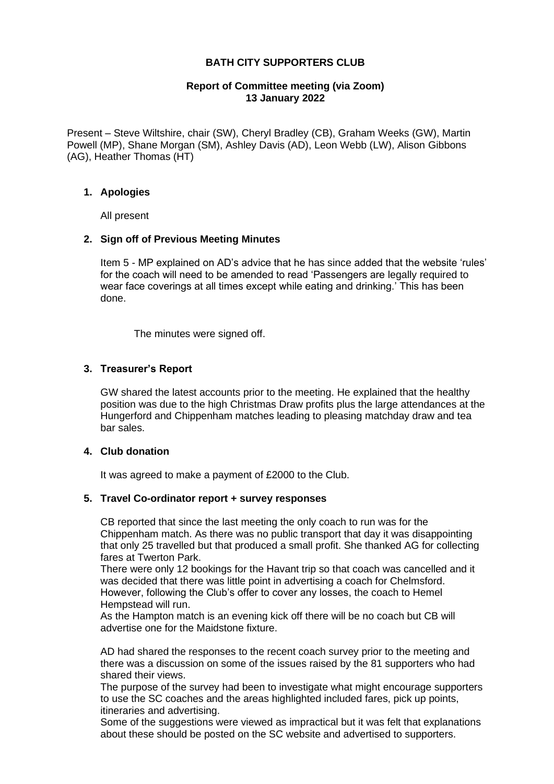## **BATH CITY SUPPORTERS CLUB**

#### **Report of Committee meeting (via Zoom) 13 January 2022**

Present – Steve Wiltshire, chair (SW), Cheryl Bradley (CB), Graham Weeks (GW), Martin Powell (MP), Shane Morgan (SM), Ashley Davis (AD), Leon Webb (LW), Alison Gibbons (AG), Heather Thomas (HT)

#### **1. Apologies**

All present

### **2. Sign off of Previous Meeting Minutes**

Item 5 - MP explained on AD's advice that he has since added that the website 'rules' for the coach will need to be amended to read 'Passengers are legally required to wear face coverings at all times except while eating and drinking.' This has been done.

The minutes were signed off.

### **3. Treasurer's Report**

GW shared the latest accounts prior to the meeting. He explained that the healthy position was due to the high Christmas Draw profits plus the large attendances at the Hungerford and Chippenham matches leading to pleasing matchday draw and tea bar sales.

#### **4. Club donation**

It was agreed to make a payment of £2000 to the Club.

#### **5. Travel Co-ordinator report + survey responses**

CB reported that since the last meeting the only coach to run was for the Chippenham match. As there was no public transport that day it was disappointing that only 25 travelled but that produced a small profit. She thanked AG for collecting fares at Twerton Park.

There were only 12 bookings for the Havant trip so that coach was cancelled and it was decided that there was little point in advertising a coach for Chelmsford. However, following the Club's offer to cover any losses, the coach to Hemel Hempstead will run.

As the Hampton match is an evening kick off there will be no coach but CB will advertise one for the Maidstone fixture.

AD had shared the responses to the recent coach survey prior to the meeting and there was a discussion on some of the issues raised by the 81 supporters who had shared their views.

The purpose of the survey had been to investigate what might encourage supporters to use the SC coaches and the areas highlighted included fares, pick up points, itineraries and advertising.

Some of the suggestions were viewed as impractical but it was felt that explanations about these should be posted on the SC website and advertised to supporters.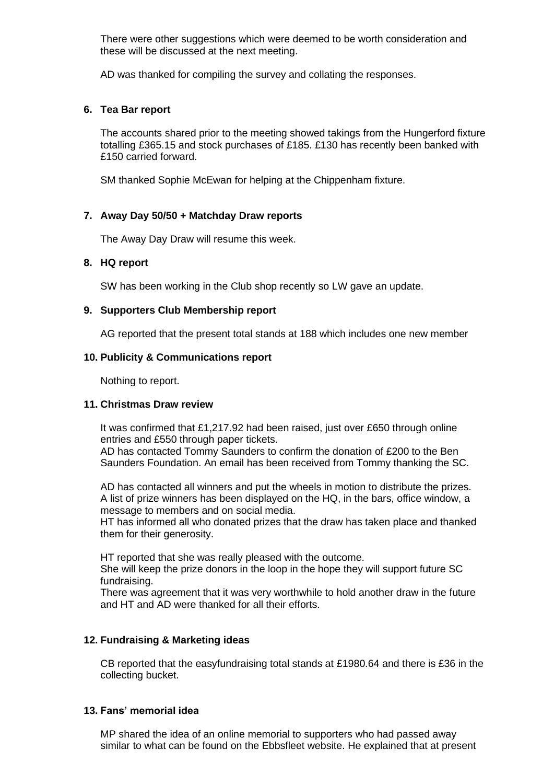There were other suggestions which were deemed to be worth consideration and these will be discussed at the next meeting.

AD was thanked for compiling the survey and collating the responses.

### **6. Tea Bar report**

The accounts shared prior to the meeting showed takings from the Hungerford fixture totalling £365.15 and stock purchases of £185. £130 has recently been banked with £150 carried forward.

SM thanked Sophie McEwan for helping at the Chippenham fixture.

## **7. Away Day 50/50 + Matchday Draw reports**

The Away Day Draw will resume this week.

### **8. HQ report**

SW has been working in the Club shop recently so LW gave an update.

### **9. Supporters Club Membership report**

AG reported that the present total stands at 188 which includes one new member

### **10. Publicity & Communications report**

Nothing to report.

#### **11. Christmas Draw review**

It was confirmed that £1,217.92 had been raised, just over £650 through online entries and £550 through paper tickets.

AD has contacted Tommy Saunders to confirm the donation of £200 to the Ben Saunders Foundation. An email has been received from Tommy thanking the SC.

AD has contacted all winners and put the wheels in motion to distribute the prizes. A list of prize winners has been displayed on the HQ, in the bars, office window, a message to members and on social media.

HT has informed all who donated prizes that the draw has taken place and thanked them for their generosity.

HT reported that she was really pleased with the outcome.

She will keep the prize donors in the loop in the hope they will support future SC fundraising.

There was agreement that it was very worthwhile to hold another draw in the future and HT and AD were thanked for all their efforts.

## **12. Fundraising & Marketing ideas**

CB reported that the easyfundraising total stands at £1980.64 and there is £36 in the collecting bucket.

### **13. Fans' memorial idea**

MP shared the idea of an online memorial to supporters who had passed away similar to what can be found on the Ebbsfleet website. He explained that at present